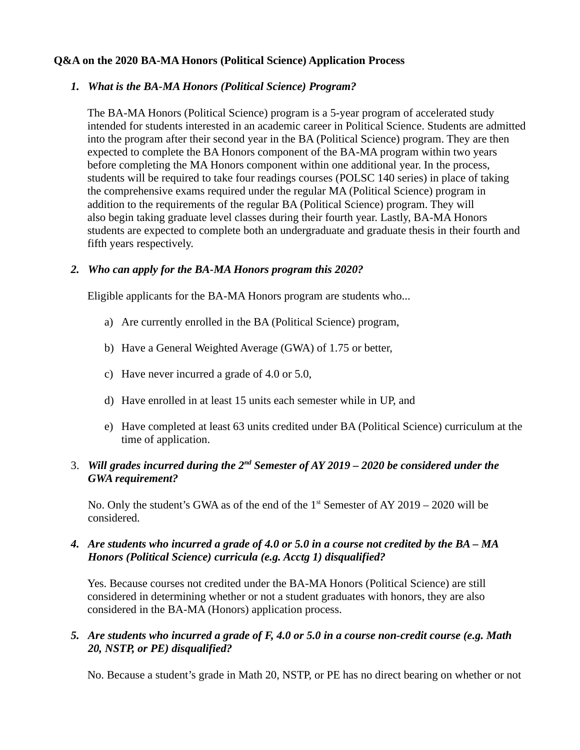## **Q&A on the 2020 BA-MA Honors (Political Science) Application Process**

### *1. What is the BA-MA Honors (Political Science) Program?*

The BA-MA Honors (Political Science) program is a 5-year program of accelerated study intended for students interested in an academic career in Political Science. Students are admitted into the program after their second year in the BA (Political Science) program. They are then expected to complete the BA Honors component of the BA-MA program within two years before completing the MA Honors component within one additional year. In the process, students will be required to take four readings courses (POLSC 140 series) in place of taking the comprehensive exams required under the regular MA (Political Science) program in addition to the requirements of the regular BA (Political Science) program. They will also begin taking graduate level classes during their fourth year. Lastly, BA-MA Honors students are expected to complete both an undergraduate and graduate thesis in their fourth and fifth years respectively.

### *2. Who can apply for the BA-MA Honors program this 2020?*

Eligible applicants for the BA-MA Honors program are students who...

- a) Are currently enrolled in the BA (Political Science) program,
- b) Have a General Weighted Average (GWA) of 1.75 or better,
- c) Have never incurred a grade of 4.0 or 5.0,
- d) Have enrolled in at least 15 units each semester while in UP, and
- e) Have completed at least 63 units credited under BA (Political Science) curriculum at the time of application.

# 3. *Will grades incurred during the 2nd Semester of AY 2019 – 2020 be considered under the GWA requirement?*

No. Only the student's GWA as of the end of the  $1<sup>st</sup>$  Semester of AY 2019 – 2020 will be considered.

# *4. Are students who incurred a grade of 4.0 or 5.0 in a course not credited by the BA – MA Honors (Political Science) curricula (e.g. Acctg 1) disqualified?*

Yes. Because courses not credited under the BA-MA Honors (Political Science) are still considered in determining whether or not a student graduates with honors, they are also considered in the BA-MA (Honors) application process.

# *5. Are students who incurred a grade of F, 4.0 or 5.0 in a course non-credit course (e.g. Math 20, NSTP, or PE) disqualified?*

No. Because a student's grade in Math 20, NSTP, or PE has no direct bearing on whether or not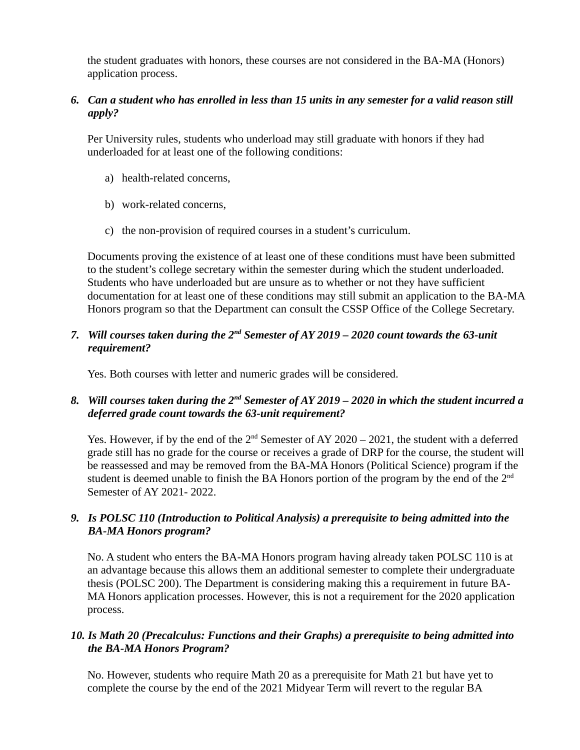the student graduates with honors, these courses are not considered in the BA-MA (Honors) application process.

# *6. Can a student who has enrolled in less than 15 units in any semester for a valid reason still apply?*

Per University rules, students who underload may still graduate with honors if they had underloaded for at least one of the following conditions:

- a) health-related concerns,
- b) work-related concerns,
- c) the non-provision of required courses in a student's curriculum.

Documents proving the existence of at least one of these conditions must have been submitted to the student's college secretary within the semester during which the student underloaded. Students who have underloaded but are unsure as to whether or not they have sufficient documentation for at least one of these conditions may still submit an application to the BA-MA Honors program so that the Department can consult the CSSP Office of the College Secretary.

# *7. Will courses taken during the 2nd Semester of AY 2019 – 2020 count towards the 63-unit requirement?*

Yes. Both courses with letter and numeric grades will be considered.

# *8. Will courses taken during the 2nd Semester of AY 2019 – 2020 in which the student incurred a deferred grade count towards the 63-unit requirement?*

Yes. However, if by the end of the  $2<sup>nd</sup>$  Semester of AY 2020 – 2021, the student with a deferred grade still has no grade for the course or receives a grade of DRP for the course, the student will be reassessed and may be removed from the BA-MA Honors (Political Science) program if the student is deemed unable to finish the BA Honors portion of the program by the end of the  $2<sup>nd</sup>$ Semester of AY 2021- 2022.

# *9. Is POLSC 110 (Introduction to Political Analysis) a prerequisite to being admitted into the BA-MA Honors program?*

No. A student who enters the BA-MA Honors program having already taken POLSC 110 is at an advantage because this allows them an additional semester to complete their undergraduate thesis (POLSC 200). The Department is considering making this a requirement in future BA-MA Honors application processes. However, this is not a requirement for the 2020 application process.

# *10. Is Math 20 (Precalculus: Functions and their Graphs) a prerequisite to being admitted into the BA-MA Honors Program?*

No. However, students who require Math 20 as a prerequisite for Math 21 but have yet to complete the course by the end of the 2021 Midyear Term will revert to the regular BA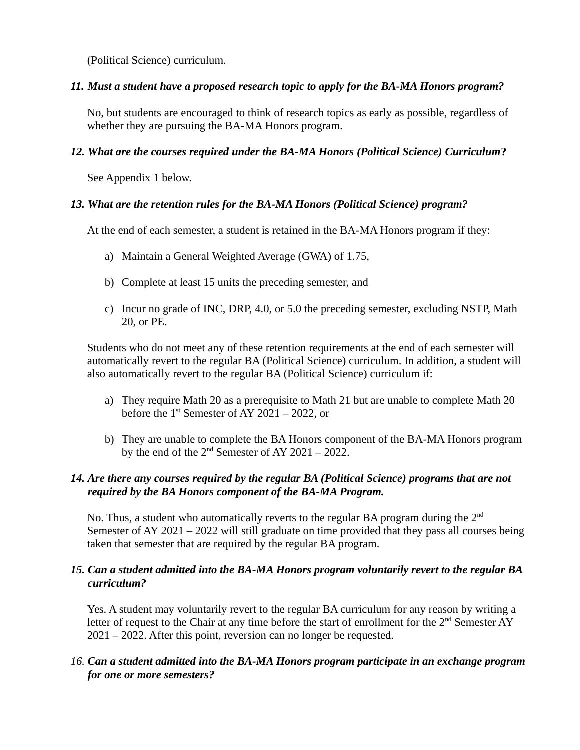(Political Science) curriculum.

# *11. Must a student have a proposed research topic to apply for the BA-MA Honors program?*

No, but students are encouraged to think of research topics as early as possible, regardless of whether they are pursuing the BA-MA Honors program.

# *12. What are the courses required under the BA-MA Honors (Political Science) Curriculum***?**

See Appendix 1 below.

# *13. What are the retention rules for the BA-MA Honors (Political Science) program?*

At the end of each semester, a student is retained in the BA-MA Honors program if they:

- a) Maintain a General Weighted Average (GWA) of 1.75,
- b) Complete at least 15 units the preceding semester, and
- c) Incur no grade of INC, DRP, 4.0, or 5.0 the preceding semester, excluding NSTP, Math 20, or PE.

Students who do not meet any of these retention requirements at the end of each semester will automatically revert to the regular BA (Political Science) curriculum. In addition, a student will also automatically revert to the regular BA (Political Science) curriculum if:

- a) They require Math 20 as a prerequisite to Math 21 but are unable to complete Math 20 before the  $1<sup>st</sup>$  Semester of AY 2021 – 2022, or
- b) They are unable to complete the BA Honors component of the BA-MA Honors program by the end of the  $2<sup>nd</sup>$  Semester of AY 2021 – 2022.

# *14. Are there any courses required by the regular BA (Political Science) programs that are not required by the BA Honors component of the BA-MA Program.*

No. Thus, a student who automatically reverts to the regular BA program during the 2<sup>nd</sup> Semester of AY 2021 – 2022 will still graduate on time provided that they pass all courses being taken that semester that are required by the regular BA program.

# *15. Can a student admitted into the BA-MA Honors program voluntarily revert to the regular BA curriculum?*

Yes. A student may voluntarily revert to the regular BA curriculum for any reason by writing a letter of request to the Chair at any time before the start of enrollment for the 2<sup>nd</sup> Semester AY 2021 – 2022. After this point, reversion can no longer be requested.

# *16. Can a student admitted into the BA-MA Honors program participate in an exchange program for one or more semesters?*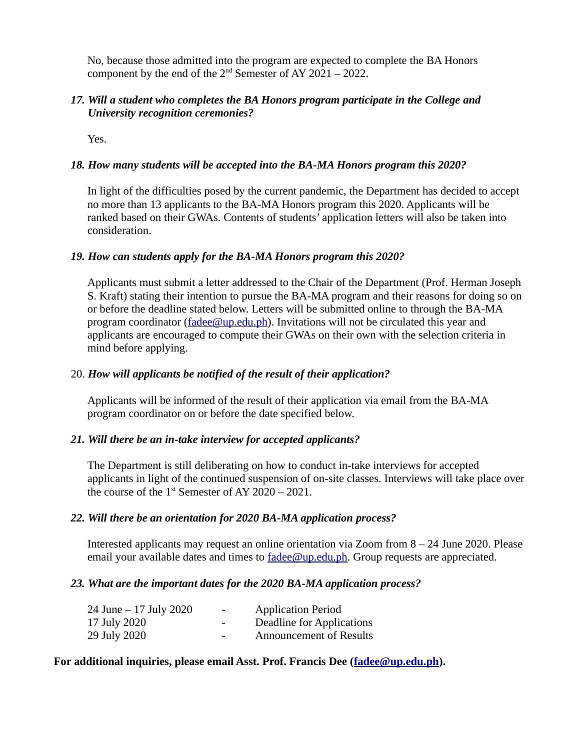No, because those admitted into the program are expected to complete the BA Honors component by the end of the  $2<sup>nd</sup>$  Semester of AY 2021 – 2022.

### *17. Will a student who completes the BA Honors program participate in the College and University recognition ceremonies?*

Yes.

### *18. How many students will be accepted into the BA-MA Honors program this 2020?*

In light of the difficulties posed by the current pandemic, the Department has decided to accept no more than 13 applicants to the BA-MA Honors program this 2020. Applicants will be ranked based on their GWAs. Contents of students' application letters will also be taken into consideration.

### *19. How can students apply for the BA-MA Honors program this 2020?*

Applicants must submit a letter addressed to the Chair of the Department (Prof. Herman Joseph S. Kraft) stating their intention to pursue the BA-MA program and their reasons for doing so on or before the deadline stated below. Letters will be submitted online to through the BA-MA program coordinator ( $\frac{\text{fadee}(\omega_{\text{up}})}{\text{gateq}}$ ). Invitations will not be circulated this year and applicants are encouraged to compute their GWAs on their own with the selection criteria in mind before applying.

#### 20. *How will applicants be notified of the result of their application?*

Applicants will be informed of the result of their application via email from the BA-MA program coordinator on or before the date specified below.

### *21. Will there be an in-take interview for accepted applicants?*

The Department is still deliberating on how to conduct in-take interviews for accepted applicants in light of the continued suspension of on-site classes. Interviews will take place over the course of the  $1<sup>st</sup>$  Semester of AY 2020 – 2021.

### *22. Will there be an orientation for 2020 BA-MA application process?*

Interested applicants may request an online orientation via Zoom from 8 – 24 June 2020. Please email your available dates and times to [fadee@up.edu.ph.](mailto:fadee@up.edu.ph) Group requests are appreciated.

#### *23. What are the important dates for the 2020 BA-MA application process?*

| 24 June – 17 July 2020 | н.                       | <b>Application Period</b>      |
|------------------------|--------------------------|--------------------------------|
| 17 July 2020           | $\overline{\phantom{a}}$ | Deadline for Applications      |
| 29 July 2020           | $\overline{\phantom{0}}$ | <b>Announcement of Results</b> |

### **For additional inquiries, please email Asst. Prof. Francis Dee ([fadee@up.edu.ph\)](mailto:fadee@up.edu.ph).**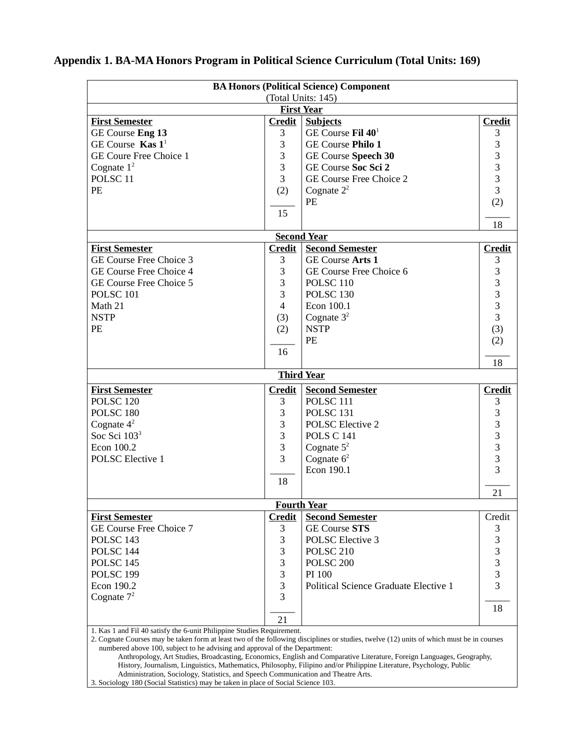| <b>BA Honors (Political Science) Component</b>                                                                                                                                                           |                    |                                                                                                                       |                                       |  |  |  |
|----------------------------------------------------------------------------------------------------------------------------------------------------------------------------------------------------------|--------------------|-----------------------------------------------------------------------------------------------------------------------|---------------------------------------|--|--|--|
|                                                                                                                                                                                                          |                    | (Total Units: 145)                                                                                                    |                                       |  |  |  |
|                                                                                                                                                                                                          |                    | <b>First Year</b>                                                                                                     |                                       |  |  |  |
| <b>First Semester</b>                                                                                                                                                                                    | <b>Credit</b>      | <b>Subjects</b>                                                                                                       | <b>Credit</b>                         |  |  |  |
| GE Course Eng 13                                                                                                                                                                                         | 3                  | GE Course Fil 40 <sup>1</sup>                                                                                         | 3                                     |  |  |  |
| GE Course Kas $1^1$                                                                                                                                                                                      | 3                  | <b>GE Course Philo 1</b>                                                                                              | 3                                     |  |  |  |
| <b>GE Coure Free Choice 1</b>                                                                                                                                                                            | 3                  | <b>GE Course Speech 30</b>                                                                                            | $\begin{array}{c} 3 \\ 3 \end{array}$ |  |  |  |
| Cognate $1^2$                                                                                                                                                                                            | 3                  | <b>GE Course Soc Sci 2</b>                                                                                            |                                       |  |  |  |
| POLSC <sub>11</sub>                                                                                                                                                                                      | 3                  | <b>GE Course Free Choice 2</b>                                                                                        |                                       |  |  |  |
| PE                                                                                                                                                                                                       | (2)                | Cognate $2^2$                                                                                                         | $\overline{3}$                        |  |  |  |
|                                                                                                                                                                                                          |                    | PE                                                                                                                    | (2)                                   |  |  |  |
|                                                                                                                                                                                                          | 15                 |                                                                                                                       |                                       |  |  |  |
|                                                                                                                                                                                                          |                    |                                                                                                                       | 18                                    |  |  |  |
|                                                                                                                                                                                                          |                    | <b>Second Year</b>                                                                                                    |                                       |  |  |  |
| <b>First Semester</b>                                                                                                                                                                                    | <b>Credit</b>      | <b>Second Semester</b>                                                                                                | <b>Credit</b>                         |  |  |  |
| <b>GE Course Free Choice 3</b>                                                                                                                                                                           | 3                  | <b>GE Course Arts 1</b>                                                                                               | 3                                     |  |  |  |
| <b>GE Course Free Choice 4</b>                                                                                                                                                                           | 3                  | <b>GE Course Free Choice 6</b>                                                                                        | 3                                     |  |  |  |
| <b>GE Course Free Choice 5</b>                                                                                                                                                                           | 3                  | <b>POLSC 110</b>                                                                                                      | 3                                     |  |  |  |
| <b>POLSC 101</b>                                                                                                                                                                                         | 3                  | POLSC <sub>130</sub>                                                                                                  | 3                                     |  |  |  |
| Math 21                                                                                                                                                                                                  | $\overline{4}$     | Econ 100.1                                                                                                            | 3                                     |  |  |  |
| <b>NSTP</b>                                                                                                                                                                                              | (3)                | Cognate $32$                                                                                                          | 3                                     |  |  |  |
| PE                                                                                                                                                                                                       | (2)                | <b>NSTP</b>                                                                                                           | (3)                                   |  |  |  |
|                                                                                                                                                                                                          |                    | PE                                                                                                                    | (2)                                   |  |  |  |
|                                                                                                                                                                                                          | 16                 |                                                                                                                       |                                       |  |  |  |
|                                                                                                                                                                                                          |                    |                                                                                                                       | 18                                    |  |  |  |
|                                                                                                                                                                                                          |                    | <b>Third Year</b>                                                                                                     |                                       |  |  |  |
| <b>First Semester</b>                                                                                                                                                                                    | <b>Credit</b>      | <b>Second Semester</b>                                                                                                | <b>Credit</b>                         |  |  |  |
| POLSC <sub>120</sub>                                                                                                                                                                                     | 3                  | <b>POLSC 111</b>                                                                                                      | 3                                     |  |  |  |
| POLSC <sub>180</sub>                                                                                                                                                                                     | 3                  | POLSC <sub>131</sub>                                                                                                  | 3                                     |  |  |  |
| Cognate $4^2$                                                                                                                                                                                            | 3                  | <b>POLSC Elective 2</b>                                                                                               | 3                                     |  |  |  |
| Soc Sci 103 <sup>3</sup>                                                                                                                                                                                 | 3                  | <b>POLS C 141</b>                                                                                                     | 3                                     |  |  |  |
| Econ 100.2                                                                                                                                                                                               | 3                  | Cognate $5^2$                                                                                                         | 3                                     |  |  |  |
| <b>POLSC Elective 1</b>                                                                                                                                                                                  | 3                  | Cognate $62$                                                                                                          | 3                                     |  |  |  |
|                                                                                                                                                                                                          |                    | Econ 190.1                                                                                                            | 3                                     |  |  |  |
|                                                                                                                                                                                                          | 18                 |                                                                                                                       |                                       |  |  |  |
|                                                                                                                                                                                                          |                    |                                                                                                                       | 21                                    |  |  |  |
|                                                                                                                                                                                                          | <b>Fourth Year</b> |                                                                                                                       |                                       |  |  |  |
| <b>First Semester</b>                                                                                                                                                                                    | <b>Credit</b>      | <b>Second Semester</b>                                                                                                | Credit                                |  |  |  |
| GE Course Free Choice 7                                                                                                                                                                                  | 3                  | <b>GE Course STS</b>                                                                                                  | 3                                     |  |  |  |
| POLSC <sub>143</sub>                                                                                                                                                                                     | 3                  | <b>POLSC Elective 3</b>                                                                                               | 3                                     |  |  |  |
| POLSC <sub>144</sub>                                                                                                                                                                                     | 3                  | POLSC <sub>210</sub>                                                                                                  | 3                                     |  |  |  |
| POLSC <sub>145</sub>                                                                                                                                                                                     | 3                  | POLSC <sub>200</sub>                                                                                                  | 3                                     |  |  |  |
| POLSC <sub>199</sub>                                                                                                                                                                                     | 3                  | PI 100                                                                                                                | 3                                     |  |  |  |
| Econ 190.2                                                                                                                                                                                               | 3                  | Political Science Graduate Elective 1                                                                                 | 3                                     |  |  |  |
| Cognate $7^2$                                                                                                                                                                                            | 3                  |                                                                                                                       |                                       |  |  |  |
|                                                                                                                                                                                                          |                    |                                                                                                                       | 18                                    |  |  |  |
|                                                                                                                                                                                                          | 21                 |                                                                                                                       |                                       |  |  |  |
| 1. Kas 1 and Fil 40 satisfy the 6-unit Philippine Studies Requirement.                                                                                                                                   |                    |                                                                                                                       |                                       |  |  |  |
| 2. Cognate Courses may be taken form at least two of the following disciplines or studies, twelve (12) units of which must be in courses                                                                 |                    |                                                                                                                       |                                       |  |  |  |
| numbered above 100, subject to he advising and approval of the Department:                                                                                                                               |                    | Anthropology, Art Studies, Broadcasting, Economics, English and Comparative Literature, Foreign Languages, Geography, |                                       |  |  |  |
| History, Journalism, Linguistics, Mathematics, Philosophy, Filipino and/or Philippine Literature, Psychology, Public<br>Administration, Sociology, Statistics, and Speech Communication and Theatre Arts |                    |                                                                                                                       |                                       |  |  |  |

# **Appendix 1. BA-MA Honors Program in Political Science Curriculum (Total Units: 169)**

Administration, Sociology, Statistics, and Speech Communication and Theatre Arts.

3. Sociology 180 (Social Statistics) may be taken in place of Social Science 103.